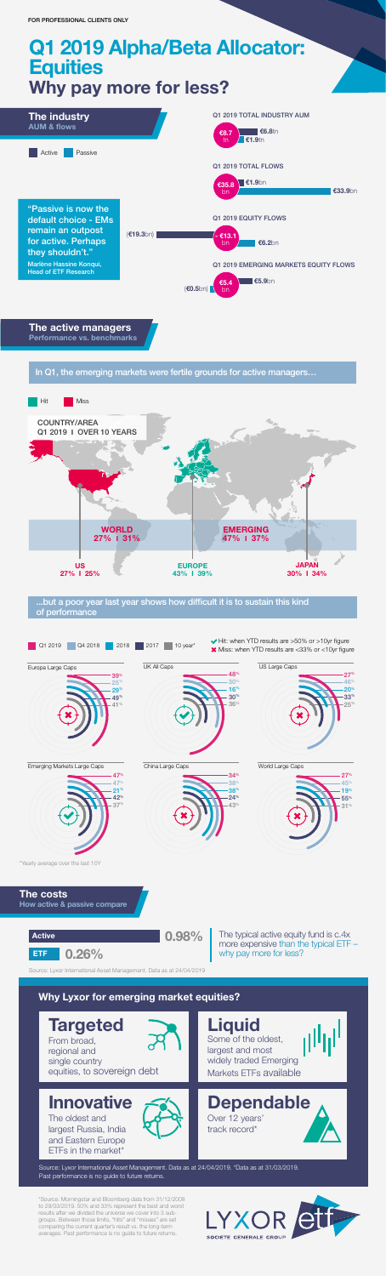# Q1 2019 Alpha/Beta Allocator: **Equities** Why pay more for less?

From broad, regional and single country equities, to sovereign debt

# **Innovative**

Some of the oldest, largest and most widely traded Emerging Markets ETFs available

Dependable Over 12 years' track record\*



The active managers Performance vs. benchmarks

In Q1, the emerging markets were fertile grounds for active managers…



The oldest and largest Russia, India and Eastern Europe ETFs in the market\*





\*Source: Morningstar and Bloomberg data from 31/12/2008 to 29/03/2019. 50% and 33% represent the best and worst results after we divided the universe we cover into 3 subgroups. Between those limits, "hits" and "misses" are set comparing the current quarter's result vs. the long-term averages. Past performance is no guide to future returns.



Source: Lyxor International Asset Management. Data as at 24/04/2019. \*Data as at 31/03/2019. Past performance is no guide to future returns.